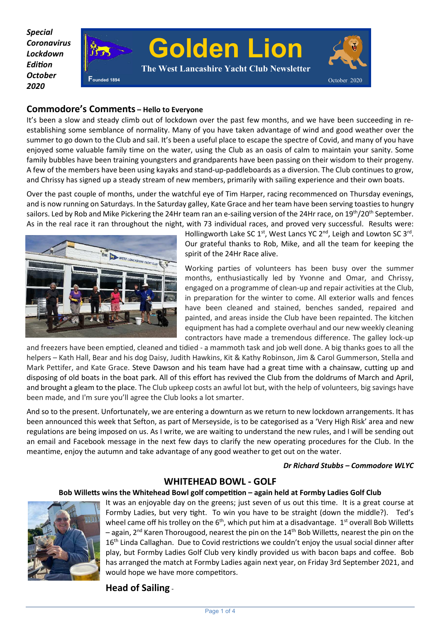*Special Coronavirus Lockdown Edion October 2020* 



## **Commodore's Comments – Hello to Everyone**

It's been a slow and steady climb out of lockdown over the past few months, and we have been succeeding in reestablishing some semblance of normality. Many of you have taken advantage of wind and good weather over the summer to go down to the Club and sail. It's been a useful place to escape the spectre of Covid, and many of you have enjoyed some valuable family time on the water, using the Club as an oasis of calm to maintain your sanity. Some family bubbles have been training youngsters and grandparents have been passing on their wisdom to their progeny. A few of the members have been using kayaks and stand-up-paddleboards as a diversion. The Club continues to grow, and Chrissy has signed up a steady stream of new members, primarily with sailing experience and their own boats.

Over the past couple of months, under the watchful eye of Tim Harper, racing recommenced on Thursday evenings, and is now running on Saturdays. In the Saturday galley, Kate Grace and her team have been serving toasties to hungry sailors. Led by Rob and Mike Pickering the 24Hr team ran an e-sailing version of the 24Hr race, on 19<sup>th</sup>/20<sup>th</sup> September. As in the real race it ran throughout the night, with 73 individual races, and proved very successful. Results were:



Hollingworth Lake SC  $1^{st}$ , West Lancs YC  $2^{nd}$ , Leigh and Lowton SC  $3^{rd}$ . Our grateful thanks to Rob, Mike, and all the team for keeping the spirit of the 24Hr Race alive.

Working parties of volunteers has been busy over the summer months, enthusiastically led by Yvonne and Omar, and Chrissy, engaged on a programme of clean-up and repair activities at the Club, in preparation for the winter to come. All exterior walls and fences have been cleaned and stained, benches sanded, repaired and painted, and areas inside the Club have been repainted. The kitchen equipment has had a complete overhaul and our new weekly cleaning contractors have made a tremendous difference. The galley lock-up

and freezers have been emptied, cleaned and tidied - a mammoth task and job well done. A big thanks goes to all the helpers – Kath Hall, Bear and his dog Daisy, Judith Hawkins, Kit & Kathy Robinson, Jim & Carol Gummerson, Stella and Mark Pettifer, and Kate Grace. Steve Dawson and his team have had a great time with a chainsaw, cutting up and disposing of old boats in the boat park. All of this effort has revived the Club from the doldrums of March and April, and brought a gleam to the place. The Club upkeep costs an awful lot but, with the help of volunteers, big savings have been made, and I'm sure you'll agree the Club looks a lot smarter.

And so to the present. Unfortunately, we are entering a downturn as we return to new lockdown arrangements. It has been announced this week that Sefton, as part of Merseyside, is to be categorised as a 'Very High Risk' area and new regulations are being imposed on us. As I write, we are waiting to understand the new rules, and I will be sending out an email and Facebook message in the next few days to clarify the new operating procedures for the Club. In the meantime, enjoy the autumn and take advantage of any good weather to get out on the water.

### *Dr Richard Stubbs – Commodore WLYC*

## **WHITEHEAD BOWL - GOLF**

### Bob Willetts wins the Whitehead Bowl golf competition – again held at Formby Ladies Golf Club



It was an enjoyable day on the greens; just seven of us out this time. It is a great course at Formby Ladies, but very tight. To win you have to be straight (down the middle?). Ted's wheel came off his trolley on the  $6<sup>th</sup>$ , which put him at a disadvantage.  $1<sup>st</sup>$  overall Bob Willetts  $-$  again, 2<sup>nd</sup> Karen Thorougood, nearest the pin on the 14<sup>th</sup> Bob Willetts, nearest the pin on the 16<sup>th</sup> Linda Callaghan. Due to Covid restrictions we couldn't enjoy the usual social dinner after play, but Formby Ladies Golf Club very kindly provided us with bacon baps and coffee. Bob has arranged the match at Formby Ladies again next year, on Friday 3rd September 2021, and would hope we have more competitors.

# **Head of Sailing** -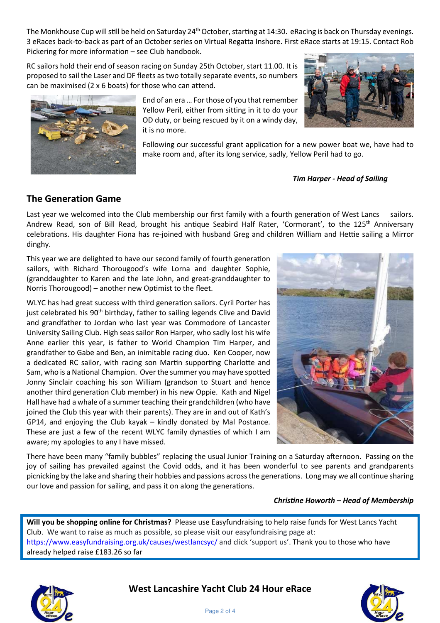The Monkhouse Cup will still be held on Saturday  $24<sup>th</sup>$  October, starting at 14:30. eRacing is back on Thursday evenings. 3 eRaces back-to-back as part of an October series on Virtual Regatta Inshore. First eRace starts at 19:15. Contact Rob Pickering for more information – see Club handbook.

RC sailors hold their end of season racing on Sunday 25th October, start 11.00. It is proposed to sail the Laser and DF fleets as two totally separate events, so numbers can be maximised (2 x 6 boats) for those who can attend.



End of an era … For those of you that remember Yellow Peril, either from sitting in it to do your OD duty, or being rescued by it on a windy day, it is no more.

Following our successful grant application for a new power boat we, have had to make room and, after its long service, sadly, Yellow Peril had to go.

*Tim Harper - Head of Sailing*

# **The Generation Game**

Last year we welcomed into the Club membership our first family with a fourth generation of West Lancs sailors. Andrew Read, son of Bill Read, brought his antique Seabird Half Rater, 'Cormorant', to the 125<sup>th</sup> Anniversary celebrations. His daughter Fiona has re-joined with husband Greg and children William and Hettie sailing a Mirror dinghy.

This year we are delighted to have our second family of fourth generation sailors, with Richard Thorougood's wife Lorna and daughter Sophie, (granddaughter to Karen and the late John, and great-granddaughter to Norris Thorougood) – another new Optimist to the fleet.

WLYC has had great success with third generation sailors. Cyril Porter has just celebrated his 90<sup>th</sup> birthday, father to sailing legends Clive and David and grandfather to Jordan who last year was Commodore of Lancaster University Sailing Club. High seas sailor Ron Harper, who sadly lost his wife Anne earlier this year, is father to World Champion Tim Harper, and grandfather to Gabe and Ben, an inimitable racing duo. Ken Cooper, now a dedicated RC sailor, with racing son Martin supporting Charlotte and Sam, who is a National Champion. Over the summer you may have spotted Jonny Sinclair coaching his son William (grandson to Stuart and hence another third generation Club member) in his new Oppie. Kath and Nigel Hall have had a whale of a summer teaching their grandchildren (who have joined the Club this year with their parents). They are in and out of Kath's GP14, and enjoying the Club kayak – kindly donated by Mal Postance. These are just a few of the recent WLYC family dynasties of which I am aware; my apologies to any I have missed.



There have been many "family bubbles" replacing the usual Junior Training on a Saturday afternoon. Passing on the joy of sailing has prevailed against the Covid odds, and it has been wonderful to see parents and grandparents picnicking by the lake and sharing their hobbies and passions across the generations. Long may we all continue sharing our love and passion for sailing, and pass it on along the generations.

## **Christine Howorth – Head of Membership**

**Will you be shopping online for Christmas?** Please use Easyfundraising to help raise funds for West Lancs Yacht Club. We want to raise as much as possible, so please visit our easyfundraising page at: https://www.easyfundraising.org.uk/causes/westlancsyc/ and click 'support us'. Thank you to those who have already helped raise £183.26 so far



**West Lancashire Yacht Club 24 Hour eRace** 

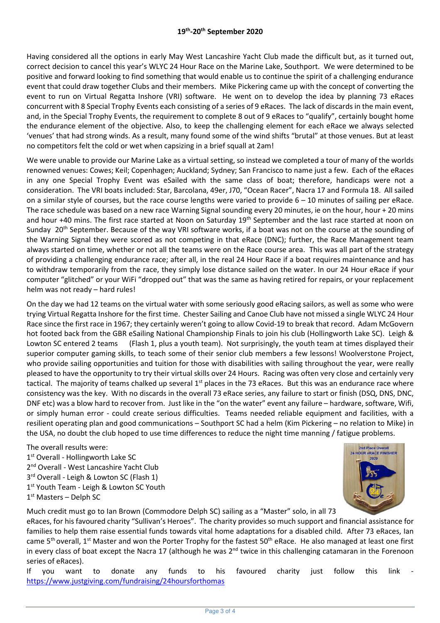Having considered all the options in early May West Lancashire Yacht Club made the difficult but, as it turned out, correct decision to cancel this year's WLYC 24 Hour Race on the Marine Lake, Southport. We were determined to be positive and forward looking to find something that would enable us to continue the spirit of a challenging endurance event that could draw together Clubs and their members. Mike Pickering came up with the concept of converting the event to run on Virtual Regatta Inshore (VRI) software. He went on to develop the idea by planning 73 eRaces concurrent with 8 Special Trophy Events each consisting of a series of 9 eRaces. The lack of discards in the main event, and, in the Special Trophy Events, the requirement to complete 8 out of 9 eRaces to "qualify", certainly bought home the endurance element of the objective. Also, to keep the challenging element for each eRace we always selected 'venues' that had strong winds. As a result, many found some of the wind shifts "brutal" at those venues. But at least no competitors felt the cold or wet when capsizing in a brief squall at 2am!

We were unable to provide our Marine Lake as a virtual setting, so instead we completed a tour of many of the worlds renowned venues: Cowes; Keil; Copenhagen; Auckland; Sydney; San Francisco to name just a few. Each of the eRaces in any one Special Trophy Event was eSailed with the same class of boat; therefore, handicaps were not a consideration. The VRI boats included: Star, Barcolana, 49er, J70, "Ocean Racer", Nacra 17 and Formula 18. All sailed on a similar style of courses, but the race course lengths were varied to provide  $6 - 10$  minutes of sailing per eRace. The race schedule was based on a new race Warning Signal sounding every 20 minutes, ie on the hour, hour + 20 mins and hour +40 mins. The first race started at Noon on Saturday 19<sup>th</sup> September and the last race started at noon on Sunday 20<sup>th</sup> September. Because of the way VRI software works, if a boat was not on the course at the sounding of the Warning Signal they were scored as not competing in that eRace (DNC); further, the Race Management team always started on time, whether or not all the teams were on the Race course area. This was all part of the strategy of providing a challenging endurance race; after all, in the real 24 Hour Race if a boat requires maintenance and has to withdraw temporarily from the race, they simply lose distance sailed on the water. In our 24 Hour eRace if your computer "glitched" or your WiFi "dropped out" that was the same as having retired for repairs, or your replacement helm was not ready – hard rules!

On the day we had 12 teams on the virtual water with some seriously good eRacing sailors, as well as some who were trying Virtual Regatta Inshore for the first time. Chester Sailing and Canoe Club have not missed a single WLYC 24 Hour Race since the first race in 1967; they certainly weren't going to allow Covid-19 to break that record. Adam McGovern hot footed back from the GBR eSailing National Championship Finals to join his club (Hollingworth Lake SC). Leigh & Lowton SC entered 2 teams (Flash 1, plus a youth team). Not surprisingly, the youth team at times displayed their superior computer gaming skills, to teach some of their senior club members a few lessons! Woolverstone Project, who provide sailing opportunities and tuition for those with disabilities with sailing throughout the year, were really pleased to have the opportunity to try their virtual skills over 24 Hours. Racing was often very close and certainly very tactical. The majority of teams chalked up several  $1<sup>st</sup>$  places in the 73 eRaces. But this was an endurance race where consistency was the key. With no discards in the overall 73 eRace series, any failure to start or finish (DSQ, DNS, DNC, DNF etc) was a blow hard to recover from. Just like in the "on the water" event any failure – hardware, software, Wifi, or simply human error - could create serious difficulties. Teams needed reliable equipment and facilities, with a resilient operating plan and good communications – Southport SC had a helm (Kim Pickering – no relation to Mike) in the USA, no doubt the club hoped to use time differences to reduce the night time manning / fatigue problems.

The overall results were:

- 1<sup>st</sup> Overall Hollingworth Lake SC
- 2<sup>nd</sup> Overall West Lancashire Yacht Club
- 3<sup>rd</sup> Overall Leigh & Lowton SC (Flash 1)
- 1<sup>st</sup> Youth Team Leigh & Lowton SC Youth
- 1<sup>st</sup> Masters Delph SC



Much credit must go to Ian Brown (Commodore Delph SC) sailing as a "Master" solo, in all 73

eRaces, for his favoured charity "Sullivan's Heroes". The charity provides so much support and financial assistance for families to help them raise essential funds towards vital home adaptations for a disabled child. After 73 eRaces, Ian came 5<sup>th</sup> overall, 1<sup>st</sup> Master and won the Porter Trophy for the fastest 50<sup>th</sup> eRace. He also managed at least one first in every class of boat except the Nacra 17 (although he was  $2^{nd}$  twice in this challenging catamaran in the Forenoon series of eRaces).

If you want to donate any funds to his favoured charity just follow this link https://www.justgiving.com/fundraising/24hoursforthomas